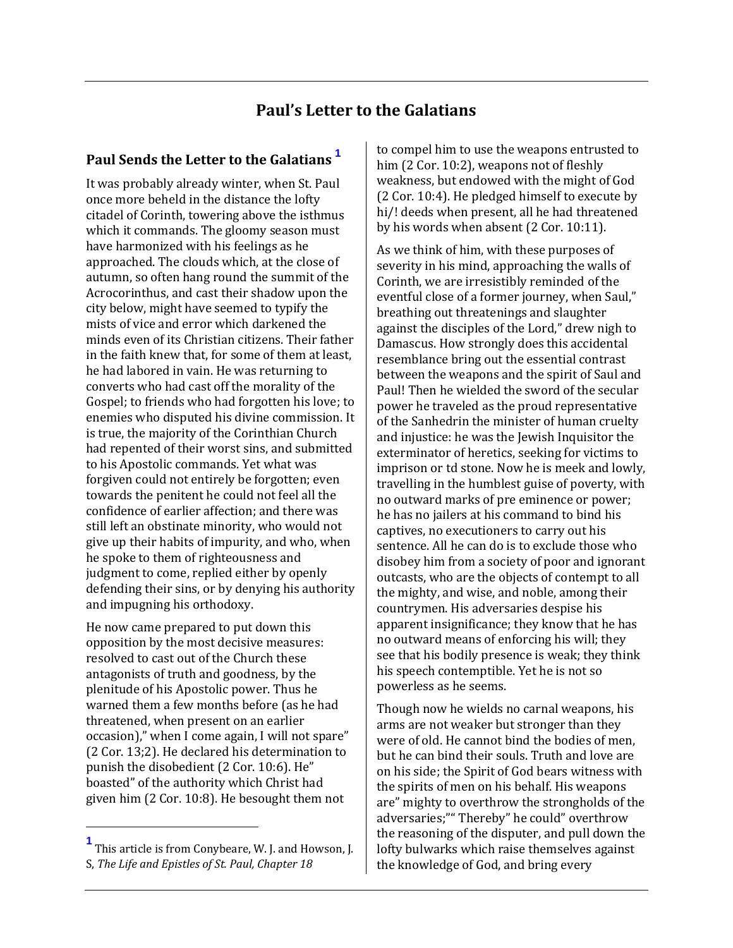# **Paul's Letter to the Galatians**

# **Paul Sends the Letter to the Galatians <sup>1</sup>**

It was probably already winter, when St. Paul once more beheld in the distance the lofty citadel of Corinth, towering above the isthmus which it commands. The gloomy season must have harmonized with his feelings as he approached. The clouds which, at the close of autumn, so often hang round the summit of the Acrocorinthus, and cast their shadow upon the city below, might have seemed to typify the mists of vice and error which darkened the minds even of its Christian citizens. Their father in the faith knew that, for some of them at least, he had labored in vain. He was returning to converts who had cast off the morality of the Gospel; to friends who had forgotten his love; to enemies who disputed his divine commission. It is true, the majority of the Corinthian Church had repented of their worst sins, and submitted to his Apostolic commands. Yet what was forgiven could not entirely be forgotten; even towards the penitent he could not feel all the confidence of earlier affection; and there was still left an obstinate minority, who would not give up their habits of impurity, and who, when he spoke to them of righteousness and judgment to come, replied either by openly defending their sins, or by denying his authority and impugning his orthodoxy.

He now came prepared to put down this opposition by the most decisive measures: resolved to cast out of the Church these antagonists of truth and goodness, by the plenitude of his Apostolic power. Thus he warned them a few months before (as he had threatened, when present on an earlier occasion)," when I come again, I will not spare" (2 Cor. 13;2). He declared his determination to punish the disobedient (2 Cor. 10:6). He" boasted" of the authority which Christ had given him (2 Cor. 10:8). He besought them not

j

to compel him to use the weapons entrusted to him (2 Cor. 10:2), weapons not of fleshly weakness, but endowed with the might of God (2 Cor. 10:4). He pledged himself to execute by hi/! deeds when present, all he had threatened by his words when absent (2 Cor. 10:11).

As we think of him, with these purposes of severity in his mind, approaching the walls of Corinth, we are irresistibly reminded of the eventful close of a former journey, when Saul," breathing out threatenings and slaughter against the disciples of the Lord," drew nigh to Damascus. How strongly does this accidental resemblance bring out the essential contrast between the weapons and the spirit of Saul and Paul! Then he wielded the sword of the secular power he traveled as the proud representative of the Sanhedrin the minister of human cruelty and injustice: he was the Jewish Inquisitor the exterminator of heretics, seeking for victims to imprison or td stone. Now he is meek and lowly, travelling in the humblest guise of poverty, with no outward marks of pre eminence or power; he has no jailers at his command to bind his captives, no executioners to carry out his sentence. All he can do is to exclude those who disobey him from a society of poor and ignorant outcasts, who are the objects of contempt to all the mighty, and wise, and noble, among their countrymen. His adversaries despise his apparent insignificance; they know that he has no outward means of enforcing his will; they see that his bodily presence is weak; they think his speech contemptible. Yet he is not so powerless as he seems.

Though now he wields no carnal weapons, his arms are not weaker but stronger than they were of old. He cannot bind the bodies of men, but he can bind their souls. Truth and love are on his side; the Spirit of God bears witness with the spirits of men on his behalf. His weapons are" mighty to overthrow the strongholds of the adversaries;"" Thereby" he could" overthrow the reasoning of the disputer, and pull down the lofty bulwarks which raise themselves against the knowledge of God, and bring every

**<sup>1</sup>** This article is from Conybeare, W. J. and Howson, J. S, *The Life and Epistles of St. Paul, Chapter 18*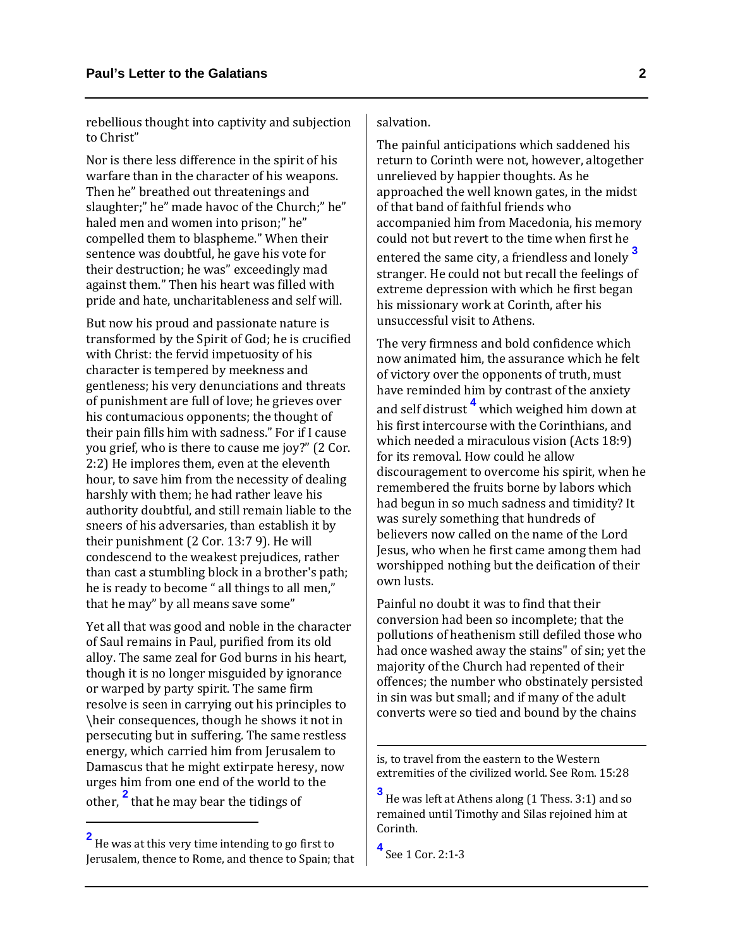rebellious thought into captivity and subjection to Christ"

Nor is there less difference in the spirit of his warfare than in the character of his weapons. Then he" breathed out threatenings and slaughter;" he" made havoc of the Church;" he" haled men and women into prison;" he" compelled them to blaspheme." When their sentence was doubtful, he gave his vote for their destruction; he was" exceedingly mad against them." Then his heart was filled with pride and hate, uncharitableness and self will.

But now his proud and passionate nature is transformed by the Spirit of God; he is crucified with Christ: the fervid impetuosity of his character is tempered by meekness and gentleness; his very denunciations and threats of punishment are full of love; he grieves over his contumacious opponents; the thought of their pain fills him with sadness." For if I cause you grief, who is there to cause me joy?" (2 Cor. 2:2) He implores them, even at the eleventh hour, to save him from the necessity of dealing harshly with them; he had rather leave his authority doubtful, and still remain liable to the sneers of his adversaries, than establish it by their punishment (2 Cor. 13:7 9). He will condescend to the weakest prejudices, rather than cast a stumbling block in a brother's path; he is ready to become " all things to all men," that he may" by all means save some"

Yet all that was good and noble in the character of Saul remains in Paul, purified from its old alloy. The same zeal for God burns in his heart, though it is no longer misguided by ignorance or warped by party spirit. The same firm resolve is seen in carrying out his principles to \heir consequences, though he shows it not in persecuting but in suffering. The same restless energy, which carried him from Jerusalem to Damascus that he might extirpate heresy, now urges him from one end of the world to the other, **<sup>2</sup>** that he may bear the tidings of

j

salvation.

The painful anticipations which saddened his return to Corinth were not, however, altogether unrelieved by happier thoughts. As he approached the well known gates, in the midst of that band of faithful friends who accompanied him from Macedonia, his memory could not but revert to the time when first he

entered the same city, a friendless and lonely **<sup>3</sup>** stranger. He could not but recall the feelings of extreme depression with which he first began his missionary work at Corinth, after his unsuccessful visit to Athens.

The very firmness and bold confidence which now animated him, the assurance which he felt of victory over the opponents of truth, must have reminded him by contrast of the anxiety and self distrust **<sup>4</sup>** which weighed him down at his first intercourse with the Corinthians, and which needed a miraculous vision (Acts 18:9) for its removal. How could he allow discouragement to overcome his spirit, when he remembered the fruits borne by labors which had begun in so much sadness and timidity? It was surely something that hundreds of believers now called on the name of the Lord Jesus, who when he first came among them had worshipped nothing but the deification of their own lusts.

Painful no doubt it was to find that their conversion had been so incomplete; that the pollutions of heathenism still defiled those who had once washed away the stains" of sin; yet the majority of the Church had repented of their offences; the number who obstinately persisted in sin was but small; and if many of the adult converts were so tied and bound by the chains

j is, to travel from the eastern to the Western extremities of the civilized world. See Rom. 15:28

**<sup>2</sup>** He was at this very time intending to go first to Jerusalem, thence to Rome, and thence to Spain; that

**<sup>3</sup>** He was left at Athens along (1 Thess. 3:1) and so remained until Timothy and Silas rejoined him at Corinth.

**<sup>4</sup>** See 1 Cor. 2:1-3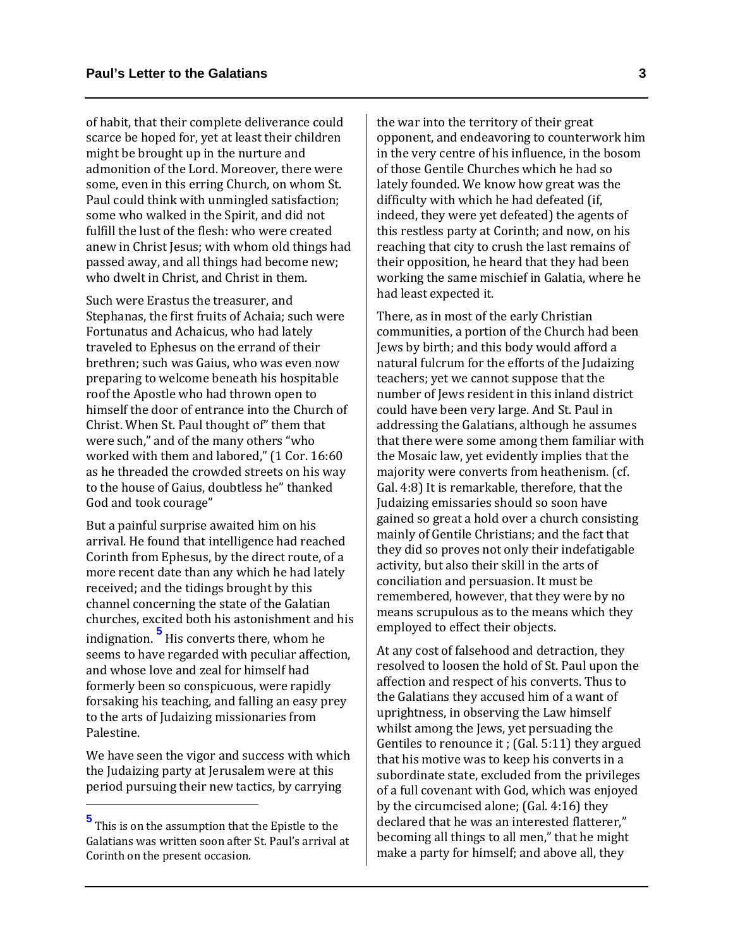of habit, that their complete deliverance could scarce be hoped for, yet at least their children might be brought up in the nurture and admonition of the Lord. Moreover, there were some, even in this erring Church, on whom St. Paul could think with unmingled satisfaction; some who walked in the Spirit, and did not fulfill the lust of the flesh: who were created anew in Christ Jesus; with whom old things had passed away, and all things had become new; who dwelt in Christ, and Christ in them.

Such were Erastus the treasurer, and Stephanas, the first fruits of Achaia; such were Fortunatus and Achaicus, who had lately traveled to Ephesus on the errand of their brethren; such was Gaius, who was even now preparing to welcome beneath his hospitable roof the Apostle who had thrown open to himself the door of entrance into the Church of Christ. When St. Paul thought of" them that were such," and of the many others "who worked with them and labored," (1 Cor. 16:60 as he threaded the crowded streets on his way to the house of Gaius, doubtless he" thanked God and took courage"

But a painful surprise awaited him on his arrival. He found that intelligence had reached Corinth from Ephesus, by the direct route, of a more recent date than any which he had lately received; and the tidings brought by this channel concerning the state of the Galatian churches, excited both his astonishment and his indignation. **<sup>5</sup>** His converts there, whom he seems to have regarded with peculiar affection, and whose love and zeal for himself had formerly been so conspicuous, were rapidly forsaking his teaching, and falling an easy prey to the arts of Judaizing missionaries from Palestine.

We have seen the vigor and success with which the Judaizing party at Jerusalem were at this period pursuing their new tactics, by carrying

j

the war into the territory of their great opponent, and endeavoring to counterwork him in the very centre of his influence, in the bosom of those Gentile Churches which he had so lately founded. We know how great was the difficulty with which he had defeated (if, indeed, they were yet defeated) the agents of this restless party at Corinth; and now, on his reaching that city to crush the last remains of their opposition, he heard that they had been working the same mischief in Galatia, where he had least expected it.

There, as in most of the early Christian communities, a portion of the Church had been Jews by birth; and this body would afford a natural fulcrum for the efforts of the Judaizing teachers; yet we cannot suppose that the number of Jews resident in this inland district could have been very large. And St. Paul in addressing the Galatians, although he assumes that there were some among them familiar with the Mosaic law, yet evidently implies that the majority were converts from heathenism. (cf. Gal. 4:8) It is remarkable, therefore, that the Judaizing emissaries should so soon have gained so great a hold over a church consisting mainly of Gentile Christians; and the fact that they did so proves not only their indefatigable activity, but also their skill in the arts of conciliation and persuasion. It must be remembered, however, that they were by no means scrupulous as to the means which they employed to effect their objects.

At any cost of falsehood and detraction, they resolved to loosen the hold of St. Paul upon the affection and respect of his converts. Thus to the Galatians they accused him of a want of uprightness, in observing the Law himself whilst among the Jews, yet persuading the Gentiles to renounce it ; (Gal. 5:11) they argued that his motive was to keep his converts in a subordinate state, excluded from the privileges of a full covenant with God, which was enjoyed by the circumcised alone; (Gal. 4:16) they declared that he was an interested flatterer," becoming all things to all men," that he might make a party for himself; and above all, they

**<sup>5</sup>** This is on the assumption that the Epistle to the Galatians was written soon after St. Paul's arrival at Corinth on the present occasion.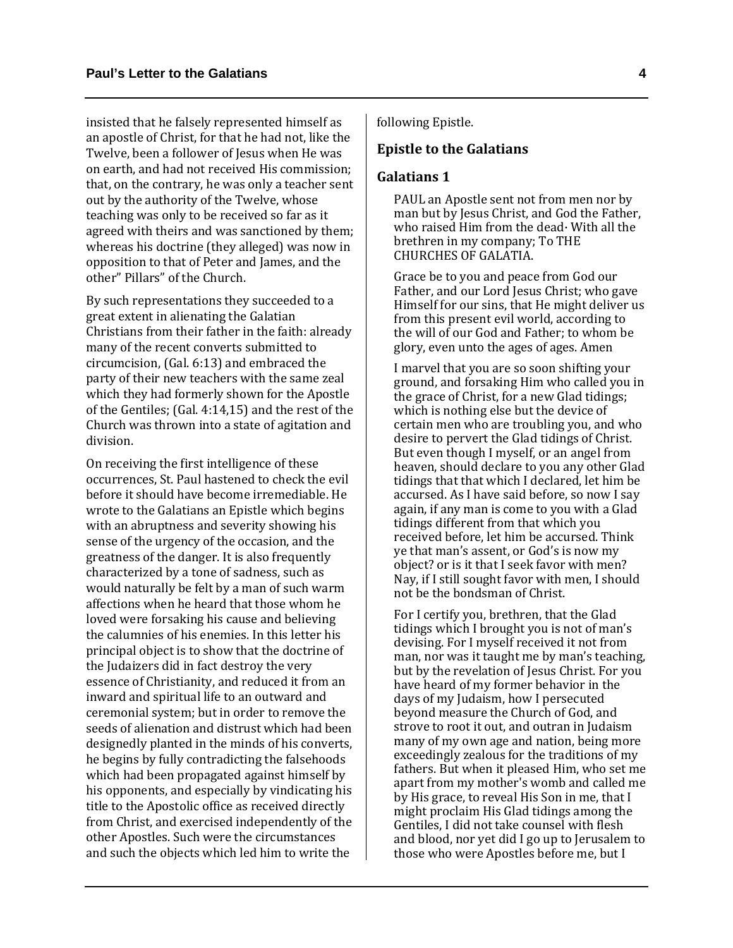insisted that he falsely represented himself as an apostle of Christ, for that he had not, like the Twelve, been a follower of Jesus when He was on earth, and had not received His commission; that, on the contrary, he was only a teacher sent out by the authority of the Twelve, whose teaching was only to be received so far as it agreed with theirs and was sanctioned by them; whereas his doctrine (they alleged) was now in opposition to that of Peter and James, and the other" Pillars" of the Church.

By such representations they succeeded to a great extent in alienating the Galatian Christians from their father in the faith: already many of the recent converts submitted to circumcision, (Gal. 6:13) and embraced the party of their new teachers with the same zeal which they had formerly shown for the Apostle of the Gentiles; (Gal. 4:14,15) and the rest of the Church was thrown into a state of agitation and division.

On receiving the first intelligence of these occurrences, St. Paul hastened to check the evil before it should have become irremediable. He wrote to the Galatians an Epistle which begins with an abruptness and severity showing his sense of the urgency of the occasion, and the greatness of the danger. It is also frequently characterized by a tone of sadness, such as would naturally be felt by a man of such warm affections when he heard that those whom he loved were forsaking his cause and believing the calumnies of his enemies. In this letter his principal object is to show that the doctrine of the Judaizers did in fact destroy the very essence of Christianity, and reduced it from an inward and spiritual life to an outward and ceremonial system; but in order to remove the seeds of alienation and distrust which had been designedly planted in the minds of his converts, he begins by fully contradicting the falsehoods which had been propagated against himself by his opponents, and especially by vindicating his title to the Apostolic office as received directly from Christ, and exercised independently of the other Apostles. Such were the circumstances and such the objects which led him to write the

following Epistle.

## **Epistle to the Galatians**

# **Galatians 1**

PAUL an Apostle sent not from men nor by man but by Jesus Christ, and God the Father, who raised Him from the dead· With all the brethren in my company; To THE CHURCHES OF GALATIA.

Grace be to you and peace from God our Father, and our Lord Jesus Christ; who gave Himself for our sins, that He might deliver us from this present evil world, according to the will of our God and Father; to whom be glory, even unto the ages of ages. Amen

I marvel that you are so soon shifting your ground, and forsaking Him who called you in the grace of Christ, for a new Glad tidings; which is nothing else but the device of certain men who are troubling you, and who desire to pervert the Glad tidings of Christ. But even though I myself, or an angel from heaven, should declare to you any other Glad tidings that that which I declared, let him be accursed. As I have said before, so now I say again, if any man is come to you with a Glad tidings different from that which you received before, let him be accursed. Think ye that man's assent, or God's is now my object? or is it that I seek favor with men? Nay, if I still sought favor with men, I should not be the bondsman of Christ.

For I certify you, brethren, that the Glad tidings which I brought you is not of man's devising. For I myself received it not from man, nor was it taught me by man's teaching, but by the revelation of Jesus Christ. For you have heard of my former behavior in the days of my Judaism, how I persecuted beyond measure the Church of God, and strove to root it out, and outran in Judaism many of my own age and nation, being more exceedingly zealous for the traditions of my fathers. But when it pleased Him, who set me apart from my mother's womb and called me by His grace, to reveal His Son in me, that I might proclaim His Glad tidings among the Gentiles, I did not take counsel with flesh and blood, nor yet did I go up to Jerusalem to those who were Apostles before me, but I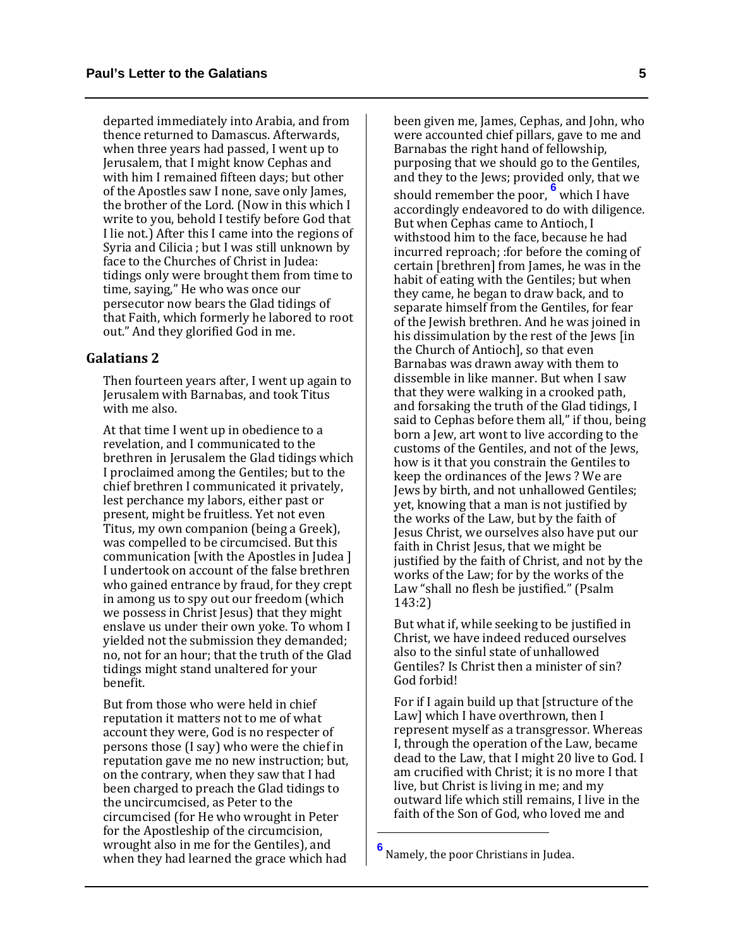departed immediately into Arabia, and from thence returned to Damascus. Afterwards, when three years had passed, I went up to Jerusalem, that I might know Cephas and with him I remained fifteen days; but other of the Apostles saw I none, save only James, the brother of the Lord. (Now in this which I write to you, behold I testify before God that I lie not.) After this I came into the regions of Syria and Cilicia ; but I was still unknown by face to the Churches of Christ in Judea: tidings only were brought them from time to time, saying," He who was once our persecutor now bears the Glad tidings of that Faith, which formerly he labored to root out." And they glorified God in me.

#### **Galatians 2**

Then fourteen years after, I went up again to Jerusalem with Barnabas, and took Titus with me also.

At that time I went up in obedience to a revelation, and I communicated to the brethren in Jerusalem the Glad tidings which I proclaimed among the Gentiles; but to the chief brethren I communicated it privately, lest perchance my labors, either past or present, might be fruitless. Yet not even Titus, my own companion (being a Greek), was compelled to be circumcised. But this communication [with the Apostles in Judea ] I undertook on account of the false brethren who gained entrance by fraud, for they crept in among us to spy out our freedom (which we possess in Christ Jesus) that they might enslave us under their own yoke. To whom I yielded not the submission they demanded; no, not for an hour; that the truth of the Glad tidings might stand unaltered for your benefit.

But from those who were held in chief reputation it matters not to me of what account they were, God is no respecter of persons those (I say) who were the chief in reputation gave me no new instruction; but, on the contrary, when they saw that I had been charged to preach the Glad tidings to the uncircumcised, as Peter to the circumcised (for He who wrought in Peter for the Apostleship of the circumcision, wrought also in me for the Gentiles), and when they had learned the grace which had

been given me, James, Cephas, and John, who were accounted chief pillars, gave to me and Barnabas the right hand of fellowship, purposing that we should go to the Gentiles, and they to the Jews; provided only, that we should remember the poor, **<sup>6</sup>** which I have accordingly endeavored to do with diligence. But when Cephas came to Antioch, I withstood him to the face, because he had incurred reproach; :for before the coming of certain [brethren] from James, he was in the habit of eating with the Gentiles; but when they came, he began to draw back, and to separate himself from the Gentiles, for fear of the Jewish brethren. And he was joined in his dissimulation by the rest of the Jews [in the Church of Antioch], so that even Barnabas was drawn away with them to dissemble in like manner. But when I saw that they were walking in a crooked path, and forsaking the truth of the Glad tidings, I said to Cephas before them all," if thou, being born a Jew, art wont to live according to the customs of the Gentiles, and not of the Jews, how is it that you constrain the Gentiles to keep the ordinances of the Jews ? We are Jews by birth, and not unhallowed Gentiles; yet, knowing that a man is not justified by the works of the Law, but by the faith of Jesus Christ, we ourselves also have put our faith in Christ Jesus, that we might be justified by the faith of Christ, and not by the works of the Law; for by the works of the Law "shall no flesh be justified." (Psalm 143:2)

But what if, while seeking to be justified in Christ, we have indeed reduced ourselves also to the sinful state of unhallowed Gentiles? Is Christ then a minister of sin? God forbid!

For if I again build up that [structure of the Law] which I have overthrown, then I represent myself as a transgressor. Whereas I, through the operation of the Law, became dead to the Law, that I might 20 live to God. I am crucified with Christ; it is no more I that live, but Christ is living in me; and my outward life which still remains, I live in the faith of the Son of God, who loved me and

j

**<sup>6</sup>** Namely, the poor Christians in Judea.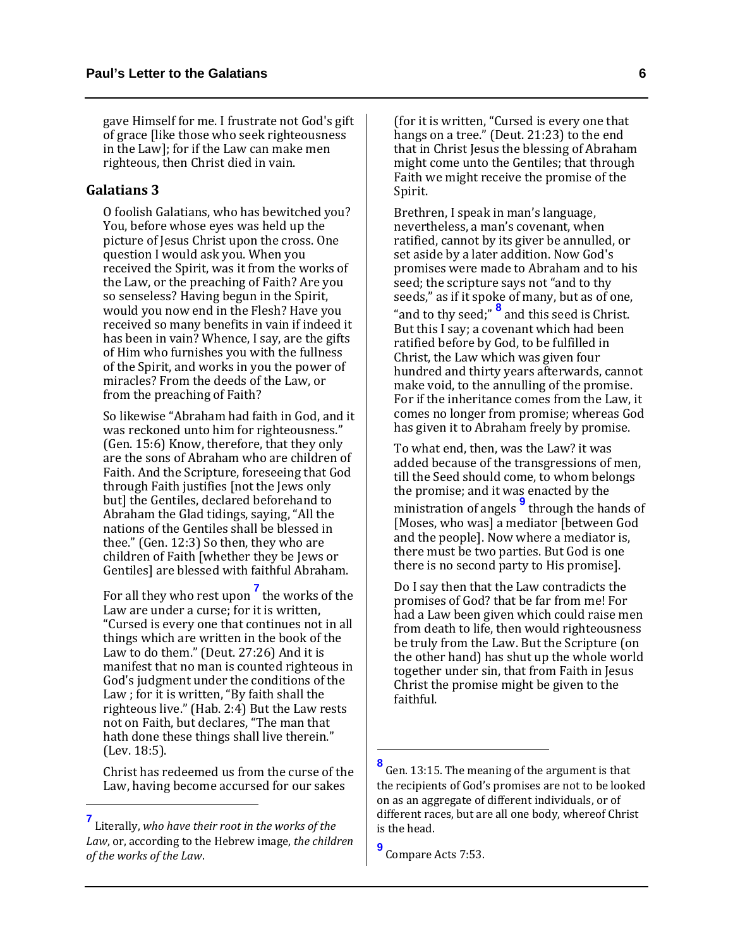gave Himself for me. I frustrate not God's gift of grace [like those who seek righteousness in the Law]; for if the Law can make men righteous, then Christ died in vain.

# **Galatians 3**

O foolish Galatians, who has bewitched you? You, before whose eyes was held up the picture of Jesus Christ upon the cross. One question I would ask you. When you received the Spirit, was it from the works of the Law, or the preaching of Faith? Are you so senseless? Having begun in the Spirit, would you now end in the Flesh? Have you received so many benefits in vain if indeed it has been in vain? Whence, I say, are the gifts of Him who furnishes you with the fullness of the Spirit, and works in you the power of miracles? From the deeds of the Law, or from the preaching of Faith?

So likewise "Abraham had faith in God, and it was reckoned unto him for righteousness." (Gen. 15:6) Know, therefore, that they only are the sons of Abraham who are children of Faith. And the Scripture, foreseeing that God through Faith justifies [not the Jews only but] the Gentiles, declared beforehand to Abraham the Glad tidings, saying, "All the nations of the Gentiles shall be blessed in thee." (Gen. 12:3) So then, they who are children of Faith [whether they be Jews or Gentiles] are blessed with faithful Abraham.

For all they who rest upon **<sup>7</sup>** the works of the Law are under a curse; for it is written, "Cursed is every one that continues not in all things which are written in the book of the Law to do them." (Deut. 27:26) And it is manifest that no man is counted righteous in God's judgment under the conditions of the Law ; for it is written, "By faith shall the righteous live." (Hab. 2:4) But the Law rests not on Faith, but declares, "The man that hath done these things shall live therein." (Lev. 18:5).

Christ has redeemed us from the curse of the Law, having become accursed for our sakes

j

(for it is written, "Cursed is every one that hangs on a tree." (Deut. 21:23) to the end that in Christ Jesus the blessing of Abraham might come unto the Gentiles; that through Faith we might receive the promise of the Spirit.

Brethren, I speak in man's language, nevertheless, a man's covenant, when ratified, cannot by its giver be annulled, or set aside by a later addition. Now God's promises were made to Abraham and to his seed; the scripture says not "and to thy seeds," as if it spoke of many, but as of one, "and to thy seed;" **<sup>8</sup>** and this seed is Christ. But this I say; a covenant which had been ratified before by God, to be fulfilled in Christ, the Law which was given four hundred and thirty years afterwards, cannot make void, to the annulling of the promise. For if the inheritance comes from the Law, it comes no longer from promise; whereas God has given it to Abraham freely by promise.

To what end, then, was the Law? it was added because of the transgressions of men, till the Seed should come, to whom belongs the promise; and it was enacted by the ministration of angels **<sup>9</sup>** through the hands of [Moses, who was] a mediator [between God] and the people]. Now where a mediator is, there must be two parties. But God is one there is no second party to His promise].

Do I say then that the Law contradicts the promises of God? that be far from me! For had a Law been given which could raise men from death to life, then would righteousness be truly from the Law. But the Scripture (on the other hand) has shut up the whole world together under sin, that from Faith in Jesus Christ the promise might be given to the faithful.

**<sup>8</sup>** Gen. 13:15. The meaning of the argument is that the recipients of God's promises are not to be looked on as an aggregate of different individuals, or of different races, but are all one body, whereof Christ is the head.

j

**<sup>7</sup>** Literally, *who have their root in the works of the Law*, or, according to the Hebrew image, *the children of the works of the Law*.

**<sup>9</sup>** Compare Acts 7:53.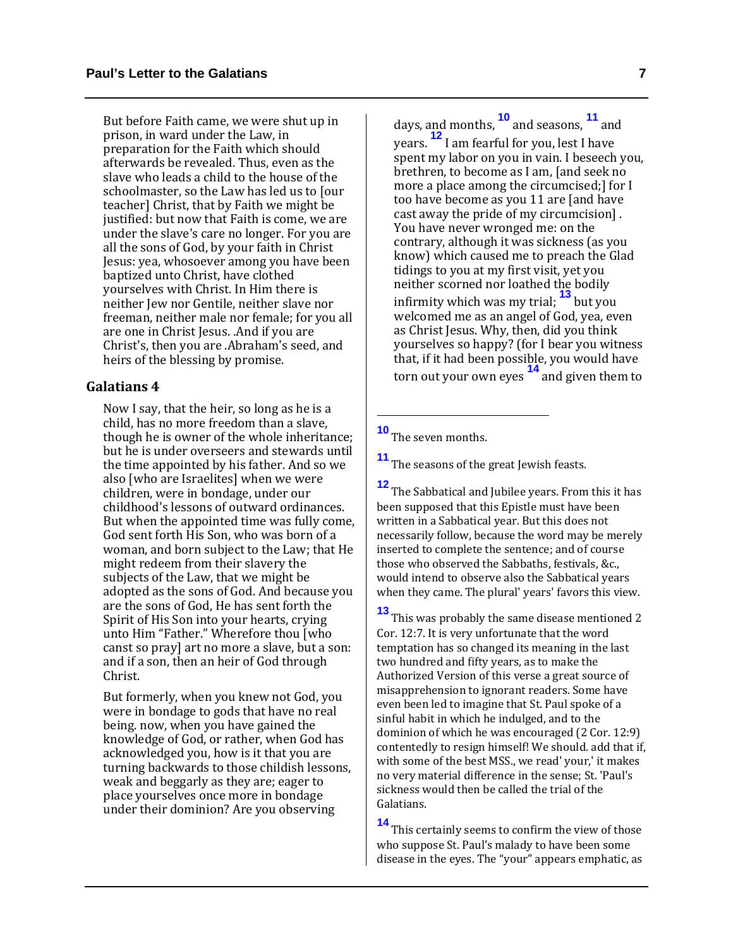But before Faith came, we were shut up in prison, in ward under the Law, in preparation for the Faith which should afterwards be revealed. Thus, even as the slave who leads a child to the house of the schoolmaster, so the Law has led us to [our teacher] Christ, that by Faith we might be justified: but now that Faith is come, we are under the slave's care no longer. For you are all the sons of God, by your faith in Christ Jesus: yea, whosoever among you have been baptized unto Christ, have clothed yourselves with Christ. In Him there is neither Jew nor Gentile, neither slave nor freeman, neither male nor female; for you all are one in Christ Jesus. .And if you are Christ's, then you are .Abraham's seed, and heirs of the blessing by promise.

#### **Galatians 4**

Now I say, that the heir, so long as he is a child, has no more freedom than a slave, though he is owner of the whole inheritance; but he is under overseers and stewards until the time appointed by his father. And so we also [who are Israelites] when we were children, were in bondage, under our childhood's lessons of outward ordinances. But when the appointed time was fully come, God sent forth His Son, who was born of a woman, and born subject to the Law; that He might redeem from their slavery the subjects of the Law, that we might be adopted as the sons of God. And because you are the sons of God, He has sent forth the Spirit of His Son into your hearts, crying unto Him "Father." Wherefore thou [who canst so pray] art no more a slave, but a son: and if a son, then an heir of God through Christ.

But formerly, when you knew not God, you were in bondage to gods that have no real being. now, when you have gained the knowledge of God, or rather, when God has acknowledged you, how is it that you are turning backwards to those childish lessons, weak and beggarly as they are; eager to place yourselves once more in bondage under their dominion? Are you observing

days, and months, **<sup>10</sup>** and seasons, **<sup>11</sup>** and years. **<sup>12</sup>** I am fearful for you, lest I have spent my labor on you in vain. I beseech you, brethren, to become as I am, [and seek no more a place among the circumcised;] for I too have become as you 11 are [and have cast away the pride of my circumcision] . You have never wronged me: on the contrary, although it was sickness (as you know) which caused me to preach the Glad tidings to you at my first visit, yet you neither scorned nor loathed the bodily infirmity which was my trial; **<sup>13</sup>** but you welcomed me as an angel of God, yea, even as Christ Jesus. Why, then, did you think yourselves so happy? (for I bear you witness that, if it had been possible, you would have torn out your own eyes **<sup>14</sup>** and given them to

j

**<sup>10</sup>** The seven months.

**<sup>11</sup>** The seasons of the great Jewish feasts.

**<sup>12</sup>** The Sabbatical and Jubilee years. From this it has been supposed that this Epistle must have been written in a Sabbatical year. But this does not necessarily follow, because the word may be merely inserted to complete the sentence; and of course those who observed the Sabbaths, festivals, &c., would intend to observe also the Sabbatical years when they came. The plural' years' favors this view.

**<sup>13</sup>** This was probably the same disease mentioned 2 Cor. 12:7. It is very unfortunate that the word temptation has so changed its meaning in the last two hundred and fifty years, as to make the Authorized Version of this verse a great source of misapprehension to ignorant readers. Some have even been led to imagine that St. Paul spoke of a sinful habit in which he indulged, and to the dominion of which he was encouraged (2 Cor. 12:9) contentedly to resign himself! We should. add that if, with some of the best MSS., we read' your,' it makes no very material difference in the sense; St. 'Paul's sickness would then be called the trial of the Galatians.

**<sup>14</sup>** This certainly seems to confirm the view of those who suppose St. Paul's malady to have been some disease in the eyes. The "your" appears emphatic, as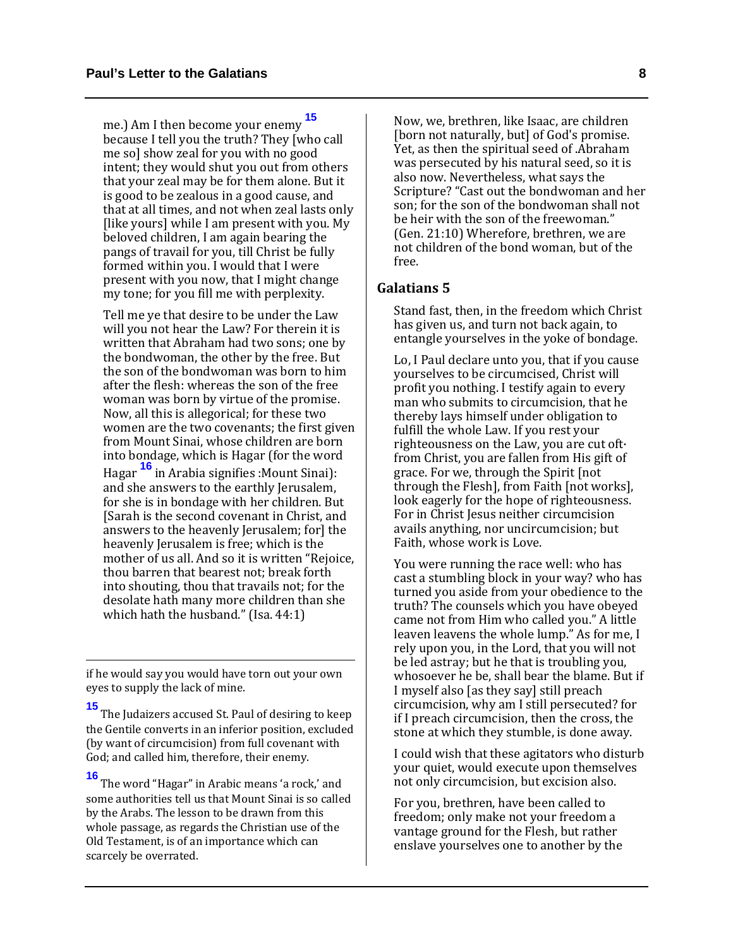me.) Am I then become your enemy **<sup>15</sup>** because I tell you the truth? They [who call me so] show zeal for you with no good intent; they would shut you out from others that your zeal may be for them alone. But it is good to be zealous in a good cause, and that at all times, and not when zeal lasts only [like yours] while I am present with you. My beloved children, I am again bearing the pangs of travail for you, till Christ be fully formed within you. I would that I were present with you now, that I might change my tone; for you fill me with perplexity.

Tell me ye that desire to be under the Law will you not hear the Law? For therein it is written that Abraham had two sons; one by the bondwoman, the other by the free. But the son of the bondwoman was born to him after the flesh: whereas the son of the free woman was born by virtue of the promise. Now, all this is allegorical; for these two women are the two covenants; the first given from Mount Sinai, whose children are born into bondage, which is Hagar (for the word Hagar **<sup>16</sup>** in Arabia signifies :Mount Sinai): and she answers to the earthly Jerusalem, for she is in bondage with her children. But [Sarah is the second covenant in Christ, and answers to the heavenly Jerusalem; for] the heavenly Jerusalem is free; which is the mother of us all. And so it is written "Rejoice, thou barren that bearest not; break forth into shouting, thou that travails not; for the desolate hath many more children than she which hath the husband." (Isa. 44:1)

j if he would say you would have torn out your own eyes to supply the lack of mine.

**<sup>15</sup>** The Judaizers accused St. Paul of desiring to keep the Gentile converts in an inferior position, excluded (by want of circumcision) from full covenant with God; and called him, therefore, their enemy.

**<sup>16</sup>** The word "Hagar" in Arabic means 'a rock,' and some authorities tell us that Mount Sinai is so called by the Arabs. The lesson to be drawn from this whole passage, as regards the Christian use of the Old Testament, is of an importance which can scarcely be overrated.

Now, we, brethren, like Isaac, are children [born not naturally, but] of God's promise. Yet, as then the spiritual seed of .Abraham was persecuted by his natural seed, so it is also now. Nevertheless, what says the Scripture? "Cast out the bondwoman and her son; for the son of the bondwoman shall not be heir with the son of the freewoman." (Gen. 21:10) Wherefore, brethren, we are not children of the bond woman, but of the free.

# **Galatians 5**

Stand fast, then, in the freedom which Christ has given us, and turn not back again, to entangle yourselves in the yoke of bondage.

Lo, I Paul declare unto you, that if you cause yourselves to be circumcised, Christ will profit you nothing. I testify again to every man who submits to circumcision, that he thereby lays himself under obligation to fulfill the whole Law. If you rest your righteousness on the Law, you are cut oft· from Christ, you are fallen from His gift of grace. For we, through the Spirit [not through the Flesh], from Faith [not works], look eagerly for the hope of righteousness. For in Christ Jesus neither circumcision avails anything, nor uncircumcision; but Faith, whose work is Love.

You were running the race well: who has cast a stumbling block in your way? who has turned you aside from your obedience to the truth? The counsels which you have obeyed came not from Him who called you." A little leaven leavens the whole lump." As for me, I rely upon you, in the Lord, that you will not be led astray; but he that is troubling you, whosoever he be, shall bear the blame. But if I myself also [as they say] still preach circumcision, why am I still persecuted? for if I preach circumcision, then the cross, the stone at which they stumble, is done away.

I could wish that these agitators who disturb your quiet, would execute upon themselves not only circumcision, but excision also.

For you, brethren, have been called to freedom; only make not your freedom a vantage ground for the Flesh, but rather enslave yourselves one to another by the